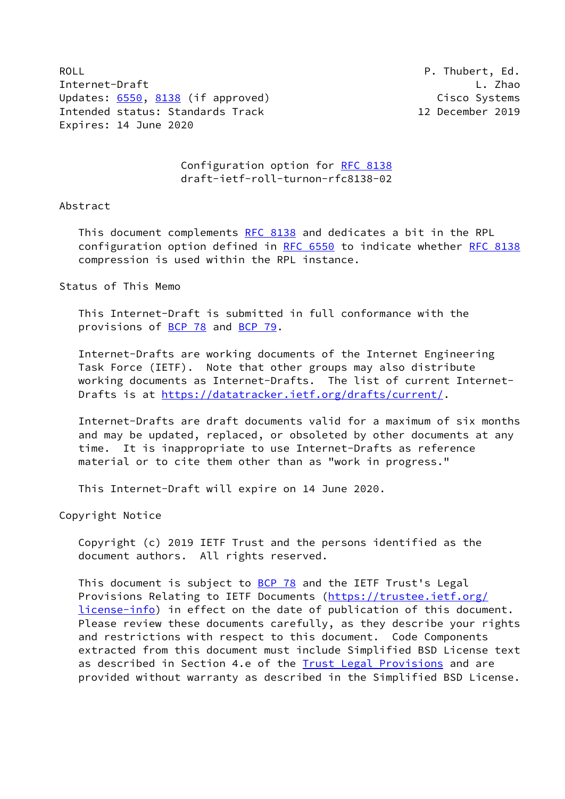ROLL **P. Thubert, Ed.** Internet-Draft L. Zhao Updates: [6550](https://datatracker.ietf.org/doc/pdf/rfc6550), [8138](https://datatracker.ietf.org/doc/pdf/rfc8138) (if approved) Cisco Systems Intended status: Standards Track 12 December 2019 Expires: 14 June 2020

 Configuration option for [RFC 8138](https://datatracker.ietf.org/doc/pdf/rfc8138) draft-ietf-roll-turnon-rfc8138-02

### Abstract

This document complements [RFC 8138](https://datatracker.ietf.org/doc/pdf/rfc8138) and dedicates a bit in the RPL configuration option defined in [RFC 6550](https://datatracker.ietf.org/doc/pdf/rfc6550) to indicate whether [RFC 8138](https://datatracker.ietf.org/doc/pdf/rfc8138) compression is used within the RPL instance.

### Status of This Memo

 This Internet-Draft is submitted in full conformance with the provisions of [BCP 78](https://datatracker.ietf.org/doc/pdf/bcp78) and [BCP 79](https://datatracker.ietf.org/doc/pdf/bcp79).

 Internet-Drafts are working documents of the Internet Engineering Task Force (IETF). Note that other groups may also distribute working documents as Internet-Drafts. The list of current Internet Drafts is at<https://datatracker.ietf.org/drafts/current/>.

 Internet-Drafts are draft documents valid for a maximum of six months and may be updated, replaced, or obsoleted by other documents at any time. It is inappropriate to use Internet-Drafts as reference material or to cite them other than as "work in progress."

This Internet-Draft will expire on 14 June 2020.

Copyright Notice

 Copyright (c) 2019 IETF Trust and the persons identified as the document authors. All rights reserved.

This document is subject to **[BCP 78](https://datatracker.ietf.org/doc/pdf/bcp78)** and the IETF Trust's Legal Provisions Relating to IETF Documents ([https://trustee.ietf.org/](https://trustee.ietf.org/license-info) [license-info](https://trustee.ietf.org/license-info)) in effect on the date of publication of this document. Please review these documents carefully, as they describe your rights and restrictions with respect to this document. Code Components extracted from this document must include Simplified BSD License text as described in Section 4.e of the [Trust Legal Provisions](https://trustee.ietf.org/license-info) and are provided without warranty as described in the Simplified BSD License.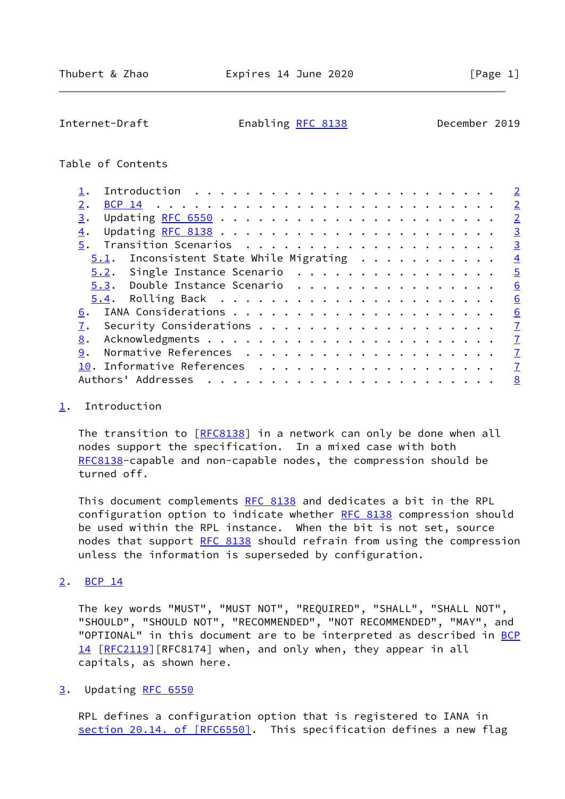<span id="page-1-1"></span>Internet-Draft Enabling [RFC 8138](https://datatracker.ietf.org/doc/pdf/rfc8138) December 2019

# Table of Contents

|                                            | $\overline{2}$ |
|--------------------------------------------|----------------|
|                                            | $\overline{2}$ |
| 3.                                         | $\overline{2}$ |
| 4.                                         | $\overline{3}$ |
| 5.                                         | $\overline{3}$ |
| Inconsistent State While Migrating<br>5.1. | $\overline{4}$ |
| 5.2. Single Instance Scenario              | $\sqrt{5}$     |
| 5.3. Double Instance Scenario              | 6              |
|                                            | 6              |
| 6.                                         | 6              |
|                                            | $\mathbf{Z}$   |
| 8.                                         | $\mathbf{Z}$   |
| 9.                                         | $\mathbf{I}$   |
|                                            | $\mathbf{Z}$   |
| Authors' Addresses                         | 8              |

# <span id="page-1-0"></span>[1](#page-1-0). Introduction

The transition to [[RFC8138](https://datatracker.ietf.org/doc/pdf/rfc8138)] in a network can only be done when all nodes support the specification. In a mixed case with both [RFC8138](https://datatracker.ietf.org/doc/pdf/rfc8138)-capable and non-capable nodes, the compression should be turned off.

This document complements [RFC 8138](https://datatracker.ietf.org/doc/pdf/rfc8138) and dedicates a bit in the RPL configuration option to indicate whether [RFC 8138](https://datatracker.ietf.org/doc/pdf/rfc8138) compression should be used within the RPL instance. When the bit is not set, source nodes that support [RFC 8138](https://datatracker.ietf.org/doc/pdf/rfc8138) should refrain from using the compression unless the information is superseded by configuration.

# <span id="page-1-2"></span>[2](#page-1-2). [BCP 14](https://datatracker.ietf.org/doc/pdf/bcp14)

 The key words "MUST", "MUST NOT", "REQUIRED", "SHALL", "SHALL NOT", "SHOULD", "SHOULD NOT", "RECOMMENDED", "NOT RECOMMENDED", "MAY", and "OPTIONAL" in this document are to be interpreted as described in [BCP](https://datatracker.ietf.org/doc/pdf/bcp14) [14](https://datatracker.ietf.org/doc/pdf/bcp14) [[RFC2119\]](https://datatracker.ietf.org/doc/pdf/rfc2119) [RFC8174] when, and only when, they appear in all capitals, as shown here.

### <span id="page-1-3"></span>[3](#page-1-3). Updating [RFC 6550](https://datatracker.ietf.org/doc/pdf/rfc6550)

 RPL defines a configuration option that is registered to IANA in section [20.14. of \[RFC6550\]](https://datatracker.ietf.org/doc/pdf/rfc6550#section-20.14). This specification defines a new flag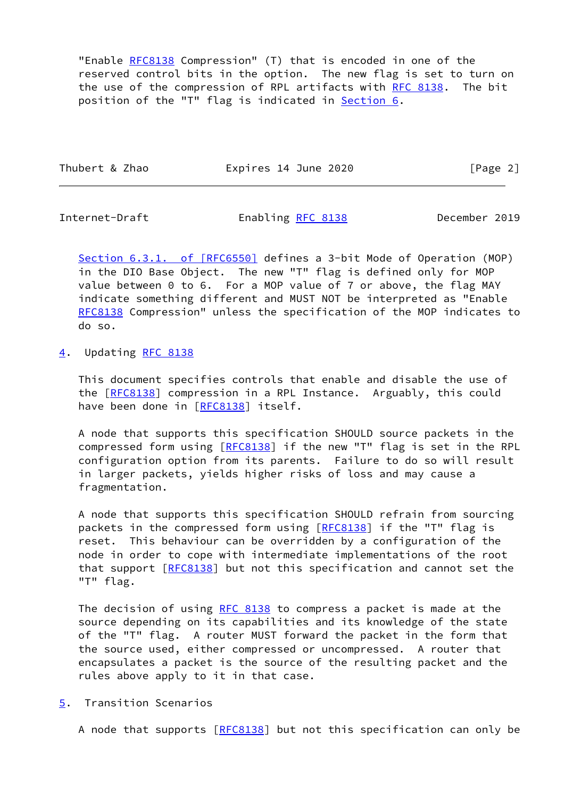"Enable [RFC8138](https://datatracker.ietf.org/doc/pdf/rfc8138) Compression" (T) that is encoded in one of the reserved control bits in the option. The new flag is set to turn on the use of the compression of RPL artifacts with [RFC 8138](https://datatracker.ietf.org/doc/pdf/rfc8138). The bit position of the "T" flag is indicated in **Section 6.** 

| Thubert & Zhao | Expires 14 June 2020 | [Page 2] |
|----------------|----------------------|----------|
|                |                      |          |

<span id="page-2-1"></span>

Internet-Draft Enabling [RFC 8138](https://datatracker.ietf.org/doc/pdf/rfc8138) December 2019

Section [6.3.1. of \[RFC6550\]](https://datatracker.ietf.org/doc/pdf/rfc6550#section-6.3.1) defines a 3-bit Mode of Operation (MOP) in the DIO Base Object. The new "T" flag is defined only for MOP value between 0 to 6. For a MOP value of 7 or above, the flag MAY indicate something different and MUST NOT be interpreted as "Enable [RFC8138](https://datatracker.ietf.org/doc/pdf/rfc8138) Compression" unless the specification of the MOP indicates to do so.

<span id="page-2-0"></span>[4](#page-2-0). Updating [RFC 8138](https://datatracker.ietf.org/doc/pdf/rfc8138)

 This document specifies controls that enable and disable the use of the [\[RFC8138](https://datatracker.ietf.org/doc/pdf/rfc8138)] compression in a RPL Instance. Arguably, this could have been done in [[RFC8138](https://datatracker.ietf.org/doc/pdf/rfc8138)] itself.

 A node that supports this specification SHOULD source packets in the compressed form using [[RFC8138](https://datatracker.ietf.org/doc/pdf/rfc8138)] if the new "T" flag is set in the RPL configuration option from its parents. Failure to do so will result in larger packets, yields higher risks of loss and may cause a fragmentation.

 A node that supports this specification SHOULD refrain from sourcing packets in the compressed form using [\[RFC8138](https://datatracker.ietf.org/doc/pdf/rfc8138)] if the "T" flag is reset. This behaviour can be overridden by a configuration of the node in order to cope with intermediate implementations of the root that support [\[RFC8138](https://datatracker.ietf.org/doc/pdf/rfc8138)] but not this specification and cannot set the "T" flag.

The decision of using [RFC 8138](https://datatracker.ietf.org/doc/pdf/rfc8138) to compress a packet is made at the source depending on its capabilities and its knowledge of the state of the "T" flag. A router MUST forward the packet in the form that the source used, either compressed or uncompressed. A router that encapsulates a packet is the source of the resulting packet and the rules above apply to it in that case.

<span id="page-2-2"></span>[5](#page-2-2). Transition Scenarios

A node that supports [\[RFC8138](https://datatracker.ietf.org/doc/pdf/rfc8138)] but not this specification can only be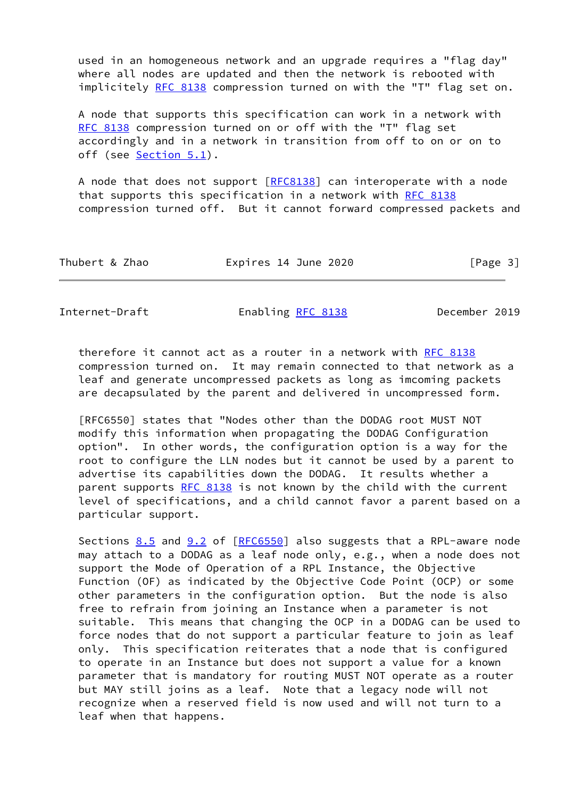used in an homogeneous network and an upgrade requires a "flag day" where all nodes are updated and then the network is rebooted with implicitely [RFC 8138](https://datatracker.ietf.org/doc/pdf/rfc8138) compression turned on with the "T" flag set on.

 A node that supports this specification can work in a network with [RFC 8138](https://datatracker.ietf.org/doc/pdf/rfc8138) compression turned on or off with the "T" flag set accordingly and in a network in transition from off to on or on to off (see [Section 5.1](#page-4-0)).

A node that does not support  $[REC8138]$  can interoperate with a node that supports this specification in a network with [RFC 8138](https://datatracker.ietf.org/doc/pdf/rfc8138) compression turned off. But it cannot forward compressed packets and

| Thubert & Zhao<br>Expires 14 June 2020 | [Page 3] |
|----------------------------------------|----------|
|----------------------------------------|----------|

<span id="page-3-0"></span>Internet-Draft Enabling [RFC 8138](https://datatracker.ietf.org/doc/pdf/rfc8138) December 2019

therefore it cannot act as a router in a network with [RFC 8138](https://datatracker.ietf.org/doc/pdf/rfc8138) compression turned on. It may remain connected to that network as a leaf and generate uncompressed packets as long as imcoming packets are decapsulated by the parent and delivered in uncompressed form.

 [RFC6550] states that "Nodes other than the DODAG root MUST NOT modify this information when propagating the DODAG Configuration option". In other words, the configuration option is a way for the root to configure the LLN nodes but it cannot be used by a parent to advertise its capabilities down the DODAG. It results whether a parent supports [RFC 8138](https://datatracker.ietf.org/doc/pdf/rfc8138) is not known by the child with the current level of specifications, and a child cannot favor a parent based on a particular support.

Sections  $8.5$  and  $9.2$  of  $[REC6550]$  also suggests that a RPL-aware node may attach to a DODAG as a leaf node only, e.g., when a node does not support the Mode of Operation of a RPL Instance, the Objective Function (OF) as indicated by the Objective Code Point (OCP) or some other parameters in the configuration option. But the node is also free to refrain from joining an Instance when a parameter is not suitable. This means that changing the OCP in a DODAG can be used to force nodes that do not support a particular feature to join as leaf only. This specification reiterates that a node that is configured to operate in an Instance but does not support a value for a known parameter that is mandatory for routing MUST NOT operate as a router but MAY still joins as a leaf. Note that a legacy node will not recognize when a reserved field is now used and will not turn to a leaf when that happens.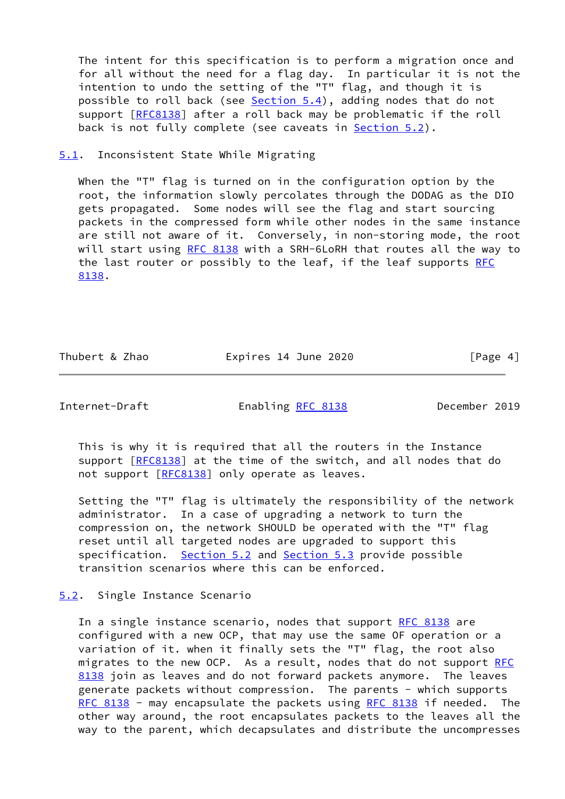The intent for this specification is to perform a migration once and for all without the need for a flag day. In particular it is not the intention to undo the setting of the "T" flag, and though it is possible to roll back (see [Section 5.4](#page-6-0)), adding nodes that do not support [\[RFC8138](https://datatracker.ietf.org/doc/pdf/rfc8138)] after a roll back may be problematic if the roll back is not fully complete (see caveats in [Section 5.2](#page-4-1)).

<span id="page-4-0"></span>[5.1](#page-4-0). Inconsistent State While Migrating

When the "T" flag is turned on in the configuration option by the root, the information slowly percolates through the DODAG as the DIO gets propagated. Some nodes will see the flag and start sourcing packets in the compressed form while other nodes in the same instance are still not aware of it. Conversely, in non-storing mode, the root will start using [RFC 8138](https://datatracker.ietf.org/doc/pdf/rfc8138) with a SRH-6LoRH that routes all the way to the last router or possibly to the leaf, if the leaf supports [RFC](https://datatracker.ietf.org/doc/pdf/rfc8138) [8138](https://datatracker.ietf.org/doc/pdf/rfc8138).

Thubert & Zhao **Expires 14 June 2020** [Page 4]

<span id="page-4-2"></span>Internet-Draft Enabling [RFC 8138](https://datatracker.ietf.org/doc/pdf/rfc8138) December 2019

 This is why it is required that all the routers in the Instance support [\[RFC8138](https://datatracker.ietf.org/doc/pdf/rfc8138)] at the time of the switch, and all nodes that do not support [\[RFC8138](https://datatracker.ietf.org/doc/pdf/rfc8138)] only operate as leaves.

 Setting the "T" flag is ultimately the responsibility of the network administrator. In a case of upgrading a network to turn the compression on, the network SHOULD be operated with the "T" flag reset until all targeted nodes are upgraded to support this specification. [Section 5.2](#page-4-1) and [Section 5.3](#page-5-0) provide possible transition scenarios where this can be enforced.

#### <span id="page-4-1"></span>[5.2](#page-4-1). Single Instance Scenario

In a single instance scenario, nodes that support [RFC 8138](https://datatracker.ietf.org/doc/pdf/rfc8138) are configured with a new OCP, that may use the same OF operation or a variation of it. when it finally sets the "T" flag, the root also migrates to the new OCP. As a result, nodes that do not support [RFC](https://datatracker.ietf.org/doc/pdf/rfc8138) [8138](https://datatracker.ietf.org/doc/pdf/rfc8138) join as leaves and do not forward packets anymore. The leaves generate packets without compression. The parents - which supports [RFC 8138](https://datatracker.ietf.org/doc/pdf/rfc8138) - may encapsulate the packets using [RFC 8138](https://datatracker.ietf.org/doc/pdf/rfc8138) if needed. The other way around, the root encapsulates packets to the leaves all the way to the parent, which decapsulates and distribute the uncompresses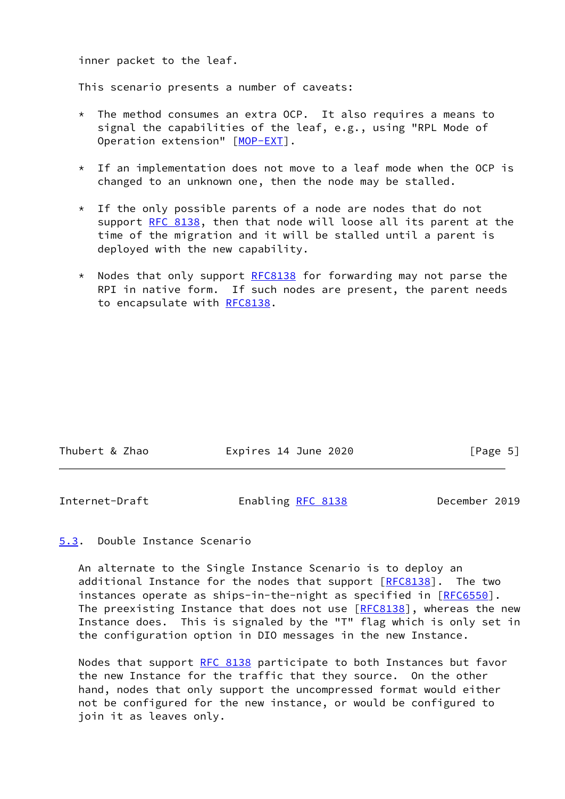inner packet to the leaf.

This scenario presents a number of caveats:

- \* The method consumes an extra OCP. It also requires a means to signal the capabilities of the leaf, e.g., using "RPL Mode of Operation extension" [\[MOP-EXT](#page-7-4)].
- $*$  If an implementation does not move to a leaf mode when the OCP is changed to an unknown one, then the node may be stalled.
- \* If the only possible parents of a node are nodes that do not support [RFC 8138,](https://datatracker.ietf.org/doc/pdf/rfc8138) then that node will loose all its parent at the time of the migration and it will be stalled until a parent is deployed with the new capability.
- \* Nodes that only support [RFC8138](https://datatracker.ietf.org/doc/pdf/rfc8138) for forwarding may not parse the RPI in native form. If such nodes are present, the parent needs to encapsulate with [RFC8138](https://datatracker.ietf.org/doc/pdf/rfc8138).

| Thubert & Zhao | Expires 14 June 2020 | [Page 5] |
|----------------|----------------------|----------|
|                |                      |          |

<span id="page-5-1"></span>Internet-Draft Enabling [RFC 8138](https://datatracker.ietf.org/doc/pdf/rfc8138) December 2019

# <span id="page-5-0"></span>[5.3](#page-5-0). Double Instance Scenario

 An alternate to the Single Instance Scenario is to deploy an additional Instance for the nodes that support [\[RFC8138](https://datatracker.ietf.org/doc/pdf/rfc8138)]. The two instances operate as ships-in-the-night as specified in [\[RFC6550](https://datatracker.ietf.org/doc/pdf/rfc6550)]. The preexisting Instance that does not use [[RFC8138\]](https://datatracker.ietf.org/doc/pdf/rfc8138), whereas the new Instance does. This is signaled by the "T" flag which is only set in the configuration option in DIO messages in the new Instance.

 Nodes that support [RFC 8138](https://datatracker.ietf.org/doc/pdf/rfc8138) participate to both Instances but favor the new Instance for the traffic that they source. On the other hand, nodes that only support the uncompressed format would either not be configured for the new instance, or would be configured to join it as leaves only.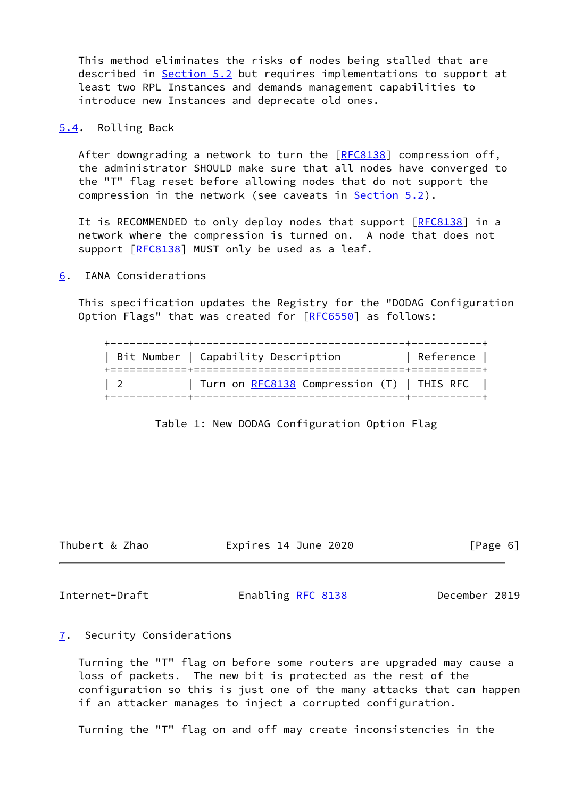This method eliminates the risks of nodes being stalled that are described in [Section 5.2](#page-4-1) but requires implementations to support at least two RPL Instances and demands management capabilities to introduce new Instances and deprecate old ones.

<span id="page-6-0"></span>[5.4](#page-6-0). Rolling Back

After downgrading a network to turn the [\[RFC8138](https://datatracker.ietf.org/doc/pdf/rfc8138)] compression off, the administrator SHOULD make sure that all nodes have converged to the "T" flag reset before allowing nodes that do not support the compression in the network (see caveats in [Section 5.2](#page-4-1)).

It is RECOMMENDED to only deploy nodes that support [\[RFC8138](https://datatracker.ietf.org/doc/pdf/rfc8138)] in a network where the compression is turned on. A node that does not support [\[RFC8138](https://datatracker.ietf.org/doc/pdf/rfc8138)] MUST only be used as a leaf.

### <span id="page-6-1"></span>[6](#page-6-1). IANA Considerations

 This specification updates the Registry for the "DODAG Configuration Option Flags" that was created for [[RFC6550\]](https://datatracker.ietf.org/doc/pdf/rfc6550) as follows:

|            | Bit Number   Capability Description               | Reference |
|------------|---------------------------------------------------|-----------|
| $\sqrt{2}$ | Turn on <u>RFC8138</u> Compression (T)   THIS RFC |           |

Table 1: New DODAG Configuration Option Flag

Thubert & Zhao **Expires 14 June 2020** [Page 6]

<span id="page-6-3"></span>Internet-Draft Enabling [RFC 8138](https://datatracker.ietf.org/doc/pdf/rfc8138) December 2019

#### <span id="page-6-2"></span>[7](#page-6-2). Security Considerations

 Turning the "T" flag on before some routers are upgraded may cause a loss of packets. The new bit is protected as the rest of the configuration so this is just one of the many attacks that can happen if an attacker manages to inject a corrupted configuration.

Turning the "T" flag on and off may create inconsistencies in the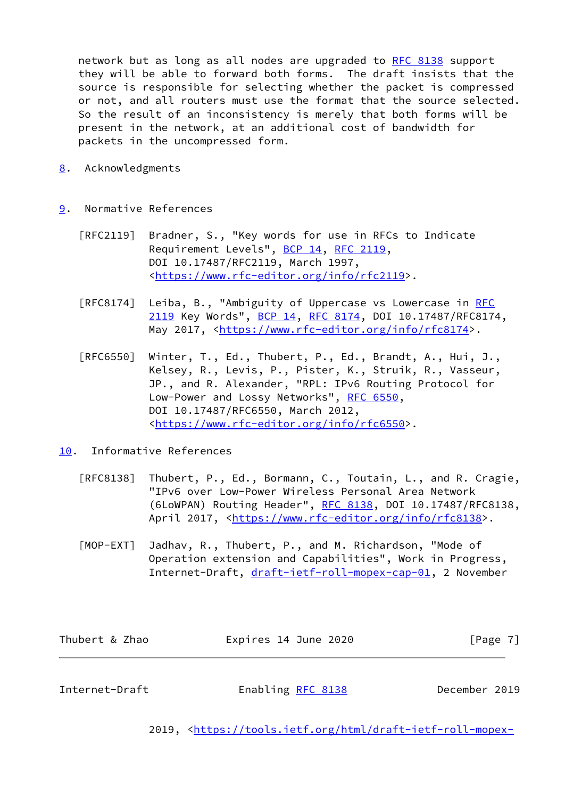network but as long as all nodes are upgraded to [RFC 8138](https://datatracker.ietf.org/doc/pdf/rfc8138) support they will be able to forward both forms. The draft insists that the source is responsible for selecting whether the packet is compressed or not, and all routers must use the format that the source selected. So the result of an inconsistency is merely that both forms will be present in the network, at an additional cost of bandwidth for packets in the uncompressed form.

- <span id="page-7-0"></span>[8](#page-7-0). Acknowledgments
- <span id="page-7-1"></span>[9](#page-7-1). Normative References
	- [RFC2119] Bradner, S., "Key words for use in RFCs to Indicate Requirement Levels", [BCP 14](https://datatracker.ietf.org/doc/pdf/bcp14), [RFC 2119](https://datatracker.ietf.org/doc/pdf/rfc2119), DOI 10.17487/RFC2119, March 1997, <[https://www.rfc-editor.org/info/rfc2119>](https://www.rfc-editor.org/info/rfc2119).
	- [RFC8174] Leiba, B., "Ambiguity of Uppercase vs Lowercase in [RFC](https://datatracker.ietf.org/doc/pdf/rfc2119) [2119](https://datatracker.ietf.org/doc/pdf/rfc2119) Key Words", [BCP 14](https://datatracker.ietf.org/doc/pdf/bcp14), [RFC 8174,](https://datatracker.ietf.org/doc/pdf/rfc8174) DOI 10.17487/RFC8174, May 2017, [<https://www.rfc-editor.org/info/rfc8174](https://www.rfc-editor.org/info/rfc8174)>.
	- [RFC6550] Winter, T., Ed., Thubert, P., Ed., Brandt, A., Hui, J., Kelsey, R., Levis, P., Pister, K., Struik, R., Vasseur, JP., and R. Alexander, "RPL: IPv6 Routing Protocol for Low-Power and Lossy Networks", [RFC 6550](https://datatracker.ietf.org/doc/pdf/rfc6550), DOI 10.17487/RFC6550, March 2012, <[https://www.rfc-editor.org/info/rfc6550>](https://www.rfc-editor.org/info/rfc6550).
- <span id="page-7-4"></span><span id="page-7-2"></span>[10.](#page-7-2) Informative References
	- [RFC8138] Thubert, P., Ed., Bormann, C., Toutain, L., and R. Cragie, "IPv6 over Low-Power Wireless Personal Area Network (6LoWPAN) Routing Header", [RFC 8138](https://datatracker.ietf.org/doc/pdf/rfc8138), DOI 10.17487/RFC8138, April 2017, [<https://www.rfc-editor.org/info/rfc8138](https://www.rfc-editor.org/info/rfc8138)>.
	- [MOP-EXT] Jadhav, R., Thubert, P., and M. Richardson, "Mode of Operation extension and Capabilities", Work in Progress, Internet-Draft, [draft-ietf-roll-mopex-cap-01,](https://datatracker.ietf.org/doc/pdf/draft-ietf-roll-mopex-cap-01) 2 November

| Thubert & Zhao | Expires 14 June 2020 | [Page 7] |
|----------------|----------------------|----------|
|                |                      |          |

<span id="page-7-3"></span>Internet-Draft Enabling [RFC 8138](https://datatracker.ietf.org/doc/pdf/rfc8138) December 2019

2019, [<https://tools.ietf.org/html/draft-ietf-roll-mopex-](https://tools.ietf.org/html/draft-ietf-roll-mopex-cap-01)